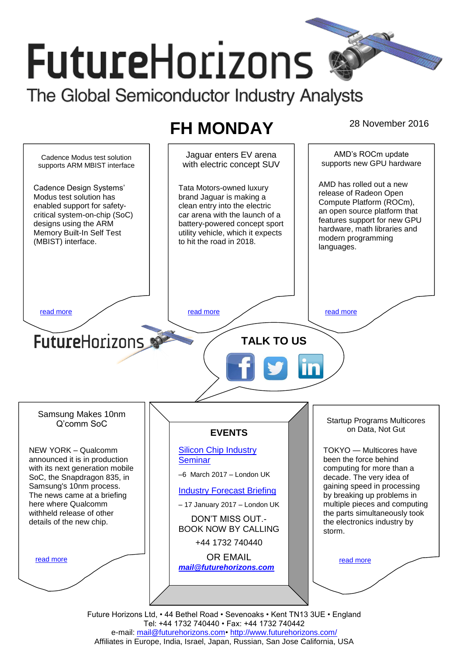# **FutureHorizons** The Global Semiconductor Industry Analysts

# FH MONDAY<sup>28 November 2016</sup>

AMD's ROCm update Jaguar enters EV arena Cadence Modus test solution supports new GPU hardware with electric concept SUV supports ARM MBIST interface AMD has rolled out a new Cadence Design Systems' Tata Motors-owned luxury release of Radeon Open Modus test solution has brand Jaguar is making a Compute Platform (ROCm), enabled support for safetyclean entry into the electric an open source platform that critical system-on-chip (SoC) car arena with the launch of a features support for new GPU designs using the ARM battery-powered concept sport hardware, math libraries and Memory Built-In Self Test utility vehicle, which it expects modern programming (MBIST) interface. to hit the road in 2018. languages. [read more](#page-1-1) that the second contract the second contract of the read more that the read more that the read more **Future**Horizons **TALK TO US** Samsung Makes 10nm Startup Programs Multicores Q'comm SoC on Data, Not Gut **EVENTS** NEW YORK – Qualcomm [Silicon Chip Industry](http://www.futurehorizons.com/page/12/silicon-chip-training)  TOKYO — Multicores have announced it is in production **[Seminar](http://www.futurehorizons.com/page/12/silicon-chip-training)** been the force behind computing for more than a with its next generation mobile –6 March 2017 – London UK SoC, the Snapdragon 835, in decade. The very idea of Samsung's 10nm process. gaining speed in processing [Industry Forecast Briefing](http://www.futurehorizons.com/page/13/Semiconductor-Market-Forecast-Seminar) The news came at a briefing by breaking up problems in multiple pieces and computing here where Qualcomm – 17 January 2017 – London UK withheld release of other the parts simultaneously took DON'T MISS OUT. details of the new chip.the electronics industry by BOOK NOW BY CALLING storm. +44 1732 740440 OR EMAIL [read more](#page-1-3) [read more](#page-1-4) *[mail@futurehorizons.com](mailto:mail@futurehorizons.com)* Future Horizons Ltd, • 44 Bethel Road • Sevenoaks • Kent TN13 3UE • England

Tel: +44 1732 740440 • Fax: +44 1732 740442 e-mail: mail@futurehorizons.com• http://www.futurehorizons.com/ Affiliates in Europe, India, Israel, Japan, Russian, San Jose California, USA